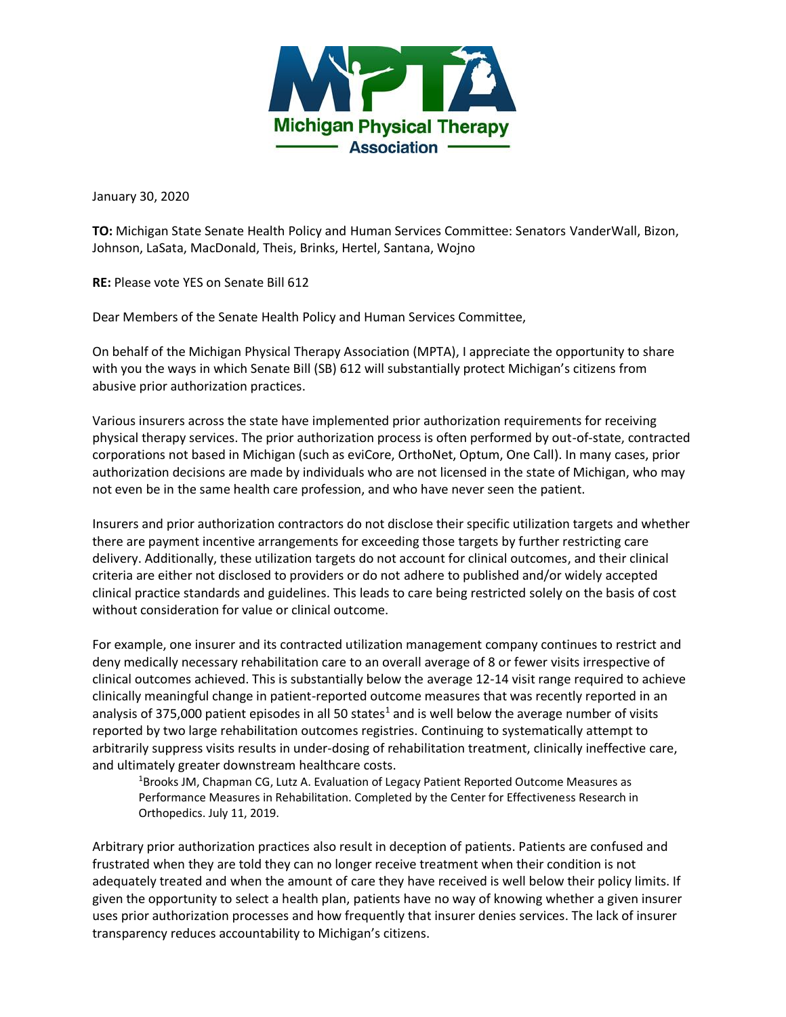

January 30, 2020

**TO:** Michigan State Senate Health Policy and Human Services Committee: Senators VanderWall, Bizon, Johnson, LaSata, MacDonald, Theis, Brinks, Hertel, Santana, Wojno

**RE:** Please vote YES on Senate Bill 612

Dear Members of the Senate Health Policy and Human Services Committee,

On behalf of the Michigan Physical Therapy Association (MPTA), I appreciate the opportunity to share with you the ways in which Senate Bill (SB) 612 will substantially protect Michigan's citizens from abusive prior authorization practices.

Various insurers across the state have implemented prior authorization requirements for receiving physical therapy services. The prior authorization process is often performed by out-of-state, contracted corporations not based in Michigan (such as eviCore, OrthoNet, Optum, One Call). In many cases, prior authorization decisions are made by individuals who are not licensed in the state of Michigan, who may not even be in the same health care profession, and who have never seen the patient.

Insurers and prior authorization contractors do not disclose their specific utilization targets and whether there are payment incentive arrangements for exceeding those targets by further restricting care delivery. Additionally, these utilization targets do not account for clinical outcomes, and their clinical criteria are either not disclosed to providers or do not adhere to published and/or widely accepted clinical practice standards and guidelines. This leads to care being restricted solely on the basis of cost without consideration for value or clinical outcome.

For example, one insurer and its contracted utilization management company continues to restrict and deny medically necessary rehabilitation care to an overall average of 8 or fewer visits irrespective of clinical outcomes achieved. This is substantially below the average 12-14 visit range required to achieve clinically meaningful change in patient-reported outcome measures that was recently reported in an analysis of 375,000 patient episodes in all 50 states<sup>1</sup> and is well below the average number of visits reported by two large rehabilitation outcomes registries. Continuing to systematically attempt to arbitrarily suppress visits results in under-dosing of rehabilitation treatment, clinically ineffective care, and ultimately greater downstream healthcare costs.

<sup>1</sup>Brooks JM, Chapman CG, Lutz A. Evaluation of Legacy Patient Reported Outcome Measures as Performance Measures in Rehabilitation. Completed by the Center for Effectiveness Research in Orthopedics. July 11, 2019.

Arbitrary prior authorization practices also result in deception of patients. Patients are confused and frustrated when they are told they can no longer receive treatment when their condition is not adequately treated and when the amount of care they have received is well below their policy limits. If given the opportunity to select a health plan, patients have no way of knowing whether a given insurer uses prior authorization processes and how frequently that insurer denies services. The lack of insurer transparency reduces accountability to Michigan's citizens.